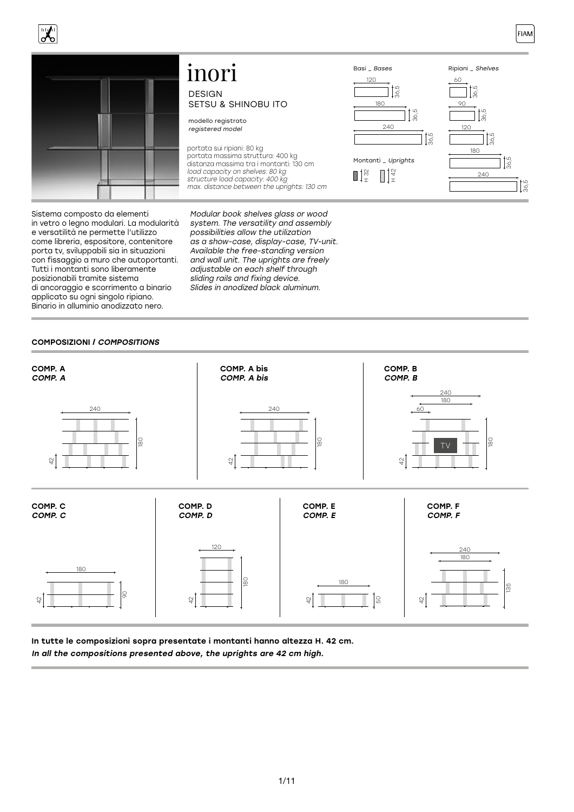



Sistema composto da elementi in vetro o legno modulari. La modularità e versatilità ne permette l'utilizzo come libreria, espositore, contenitore porta tv, sviluppabili sia in situazioni con fissaggio a muro che autoportanti. Tutti i montanti sono liberamente posizionabili tramite sistema di ancoraggio e scorrimento a binario applicato su ogni singolo ripiano. Binario in alluminio anodizzato nero.

# DESIGN SETSU & SHINOBU ITO inori

modello registrato registered model

portata sui ripiani: 80 kg portata massima struttura: 400 kg distanza massima tra i montanti: 130 cm load capacity on shelves: 80 kg structure load capacity: 400 kg max. distance between the uprights: 130 cm

Modular book shelves glass or wood system. The versatility and assembly possibilities allow the utilization as a show-case, display-case, TV-unit. Available the free-standing version and wall unit. The uprights are freely adjustable on each shelf through sliding rails and fixing device. Slides in anodized black aluminum.



### COMPOSIZIONI / COMPOSITIONS



In tutte le composizioni sopra presentate i montanti hanno altezza H. 42 cm.

In all the compositions presented above, the uprights are 42 cm high.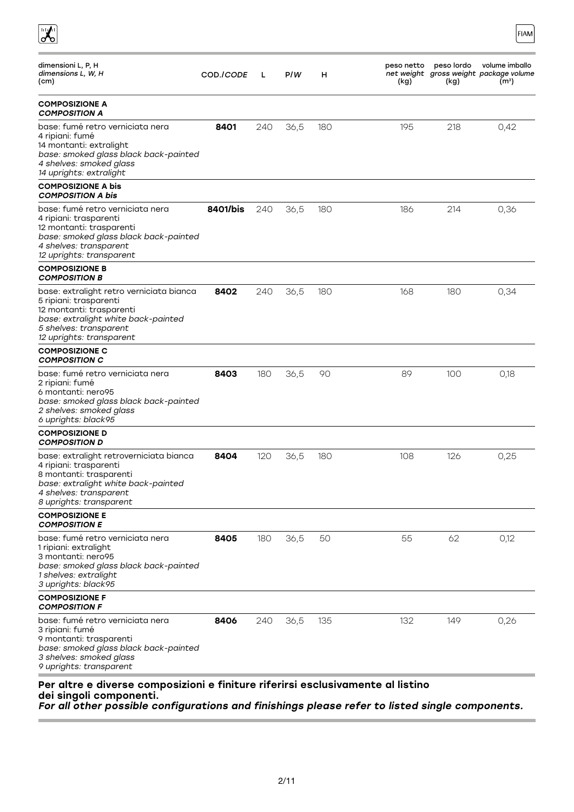| dimensioni L, P, H<br>dimensions L, W, H<br>(cm)                                                                                                                                            | COD./CODE | L   | P/W  | н   | peso lordo<br>volume imballo<br>peso netto<br>net weight gross weight package volume<br>(m <sup>3</sup> )<br>(kg)<br>(kg) |
|---------------------------------------------------------------------------------------------------------------------------------------------------------------------------------------------|-----------|-----|------|-----|---------------------------------------------------------------------------------------------------------------------------|
| <b>COMPOSIZIONE A</b><br><b>COMPOSITION A</b>                                                                                                                                               |           |     |      |     |                                                                                                                           |
| base: fumé retro verniciata nera<br>4 ripiani: fumé<br>14 montanti: extralight<br>base: smoked glass black back-painted<br>4 shelves: smoked glass<br>14 uprights: extralight               | 8401      | 240 | 36,5 | 180 | 195<br>218<br>0,42                                                                                                        |
| <b>COMPOSIZIONE A bis</b><br><b>COMPOSITION A bis</b>                                                                                                                                       |           |     |      |     |                                                                                                                           |
| base: fumé retro verniciata nera<br>4 ripiani: trasparenti<br>12 montanti: trasparenti<br>base: smoked glass black back-painted<br>4 shelves: transparent<br>12 uprights: transparent       | 8401/bis  | 240 | 36,5 | 180 | 186<br>214<br>0,36                                                                                                        |
| <b>COMPOSIZIONE B</b><br><b>COMPOSITION B</b>                                                                                                                                               |           |     |      |     |                                                                                                                           |
| base: extralight retro verniciata bianca<br>5 ripiani: trasparenti<br>12 montanti: trasparenti<br>base: extralight white back-painted<br>5 shelves: transparent<br>12 uprights: transparent | 8402      | 240 | 36,5 | 180 | 168<br>180<br>0,34                                                                                                        |
| <b>COMPOSIZIONE C</b><br><b>COMPOSITION C</b>                                                                                                                                               |           |     |      |     |                                                                                                                           |
| base: fumé retro verniciata nera<br>2 ripiani: fumé<br>6 montanti: nero95<br>base: smoked glass black back-painted<br>2 shelves: smoked glass<br>6 uprights: black95                        | 8403      | 180 | 36,5 | 90  | 100<br>89<br>0,18                                                                                                         |
| <b>COMPOSIZIONE D</b><br><b>COMPOSITION D</b>                                                                                                                                               |           |     |      |     |                                                                                                                           |
| base: extralight retroverniciata bianca<br>4 ripiani: trasparenti<br>8 montanti: trasparenti<br>base: extralight white back-painted<br>4 shelves: transparent<br>8 uprights: transparent    | 8404      | 120 | 36,5 | 180 | 0,25<br>108<br>126                                                                                                        |
| <b>COMPOSIZIONE E</b><br><b>COMPOSITION E</b>                                                                                                                                               |           |     |      |     |                                                                                                                           |
| base: fumé retro verniciata nera<br>1 ripiani: extralight<br>3 montanti: nero95<br>base: smoked glass black back-painted<br>1 shelves: extralight<br>3 uprights: black95                    | 8405      | 180 | 36,5 | 50  | 55<br>62<br>0,12                                                                                                          |
| <b>COMPOSIZIONE F</b><br><b>COMPOSITION F</b>                                                                                                                                               |           |     |      |     |                                                                                                                           |
| base: fumé retro verniciata nera<br>3 ripiani: fumé<br>9 montanti: trasparenti<br>base: smoked glass black back-painted<br>3 shelves: smoked glass<br>9 uprights: transparent               | 8406      | 240 | 36,5 | 135 | 132<br>149<br>0,26                                                                                                        |

FIAM

dei singoli componenti.

 $\begin{array}{c} \hline \mathbf{r} \\ \hline \mathbf{r} \end{array}$ 

For all other possible configurations and finishings please refer to listed single components.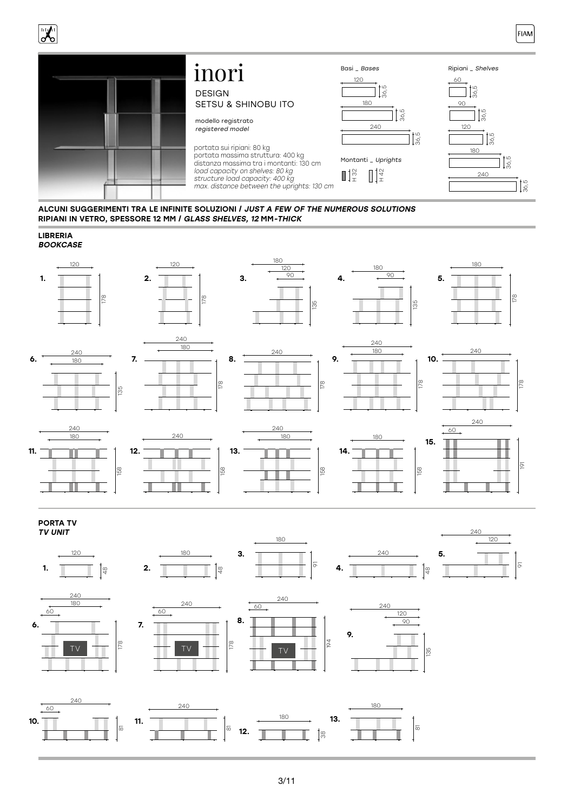



ALCUNI SUGGERIMENTI TRA LE INFINITE SOLUZIONI / JUST A FEW OF THE NUMEROUS SOLUTIONS RIPIANI IN VETRO, SPESSORE 12 MM / GLASS SHELVES, 12 MM-THICK





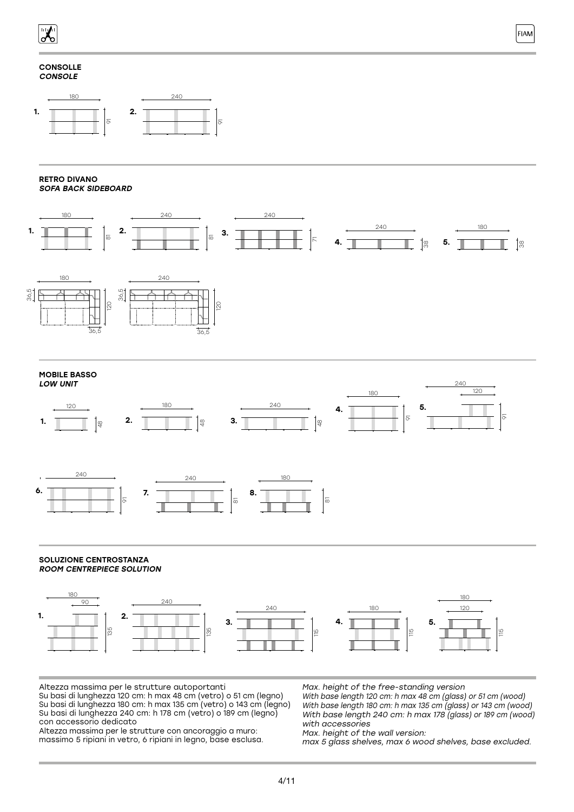

### **CONSOLLE CONSOLE**



### RETRO DIVANO SOFA BACK SIDEBOARD







### SOLUZIONE CENTROSTANZA ROOM CENTREPIECE SOLUTION



Altezza massima per le strutture autoportanti Su basi di lunghezza 120 cm: h max 48 cm (vetro) o 51 cm (legno) Su basi di lunghezza 180 cm: h max 135 cm (vetro) o 143 cm (legno) Su basi di lunghezza 240 cm: h 178 cm (vetro) o 189 cm (legno) con accessorio dedicato

Altezza massima per le strutture con ancoraggio a muro: massimo 5 ripiani in vetro, 6 ripiani in legno, base esclusa. Max. height of the free-standing version With base length 120 cm: h max 48 cm (glass) or 51 cm (wood) With base length 180 cm: h max 135 cm (glass) or 143 cm (wood) With base length 240 cm: h max 178 (glass) or 189 cm (wood)

with accessories Max. height of the wall version:

max 5 glass shelves, max 6 wood shelves, base excluded.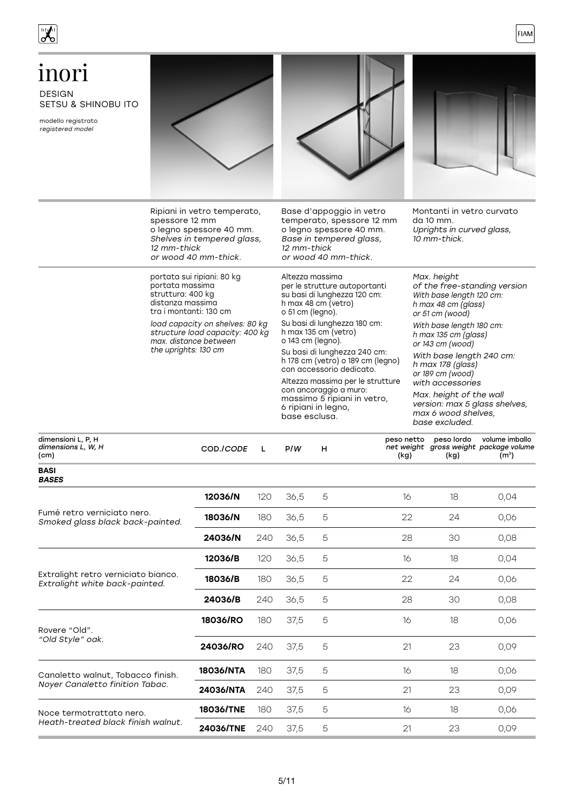

| inori<br><b>DESIGN</b><br><b>SETSU &amp; SHINOBU ITO</b><br>modello registrato<br>registered model |                                                                                                                                                                                                                                         |                                                                                                                                                                                                                                                                                                                                                                                                                                                |                                                                                                                                                                                                                                                                                                                                                                                            |
|----------------------------------------------------------------------------------------------------|-----------------------------------------------------------------------------------------------------------------------------------------------------------------------------------------------------------------------------------------|------------------------------------------------------------------------------------------------------------------------------------------------------------------------------------------------------------------------------------------------------------------------------------------------------------------------------------------------------------------------------------------------------------------------------------------------|--------------------------------------------------------------------------------------------------------------------------------------------------------------------------------------------------------------------------------------------------------------------------------------------------------------------------------------------------------------------------------------------|
|                                                                                                    | Ripiani in vetro temperato,<br>spessore 12 mm<br>o legno spessore 40 mm.<br>Shelves in tempered glass,<br>12 mm-thick<br>or wood 40 mm-thick.                                                                                           | Base d'appoggio in vetro<br>temperato, spessore 12 mm<br>o legno spessore 40 mm.<br>Base in tempered glass,<br>12 mm-thick<br>or wood 40 mm-thick.                                                                                                                                                                                                                                                                                             | Montanti in vetro curvato<br>da 10 mm.<br>Uprights in curved glass,<br>10 mm-thick.                                                                                                                                                                                                                                                                                                        |
|                                                                                                    | portata sui ripiani: 80 kg<br>portata massima<br>struttura: 400 kg<br>distanza massima<br>tra i montanti: 130 cm<br>load capacity on shelves: 80 kg<br>structure load capacity: 400 kg<br>max, distance between<br>the uprights: 130 cm | Altezza massima<br>per le strutture autoportanti<br>su basi di lunghezza 120 cm:<br>h max 48 cm (vetro)<br>o 51 cm (legno).<br>Su basi di lunghezza 180 cm:<br>h max 135 cm (vetro)<br>o 143 cm (legno).<br>Su basi di lunghezza 240 cm:<br>h 178 cm (vetro) o 189 cm (legno)<br>con accessorio dedicato.<br>Altezza massima per le strutture<br>con ancoraggio a muro:<br>massimo 5 ripiani in vetro,<br>6 ripiani in legno,<br>base esclusa. | Max. height<br>of the free-standing version<br>With base length 120 cm:<br>h max 48 cm $(g$ lass)<br>or 51 cm (wood)<br>With base length 180 cm:<br>h max 135 cm (glass)<br>or 143 cm (wood)<br>With base length 240 cm:<br>h max 178 (glass)<br>or 189 cm (wood)<br>with accessories<br>Max. height of the wall<br>version: max 5 glass shelves,<br>max 6 wood shelves.<br>base excluded. |
| dimensioni L, P, H<br>dimensions L, W, H<br>(cm)                                                   | COD./CODE<br>L                                                                                                                                                                                                                          | peso netto<br>P/W<br>н<br>(kg)                                                                                                                                                                                                                                                                                                                                                                                                                 | peso lordo<br>volume imballo<br>net weight gross weight package volume<br>(kg)<br>(m <sup>3</sup> )                                                                                                                                                                                                                                                                                        |

| <b>BASI</b><br><b>BASES</b>                                           |           |     |      |   |    |    |      |
|-----------------------------------------------------------------------|-----------|-----|------|---|----|----|------|
|                                                                       | 12036/N   | 120 | 36,5 | 5 | 16 | 18 | 0,04 |
| Fumé retro verniciato nero.<br>Smoked glass black back-painted.       | 18036/N   | 180 | 36,5 | 5 | 22 | 24 | 0,06 |
|                                                                       | 24036/N   | 240 | 36,5 | 5 | 28 | 30 | 0,08 |
|                                                                       | 12036/B   | 120 | 36,5 | 5 | 16 | 18 | 0,04 |
| Extralight retro verniciato bianco.<br>Extralight white back-painted. | 18036/B   | 180 | 36,5 | 5 | 22 | 24 | 0,06 |
|                                                                       | 24036/B   | 240 | 36,5 | 5 | 28 | 30 | 0,08 |
| Rovere "Old".                                                         | 18036/RO  | 180 | 37,5 | 5 | 16 | 18 | 0,06 |
| "Old Style" oak.                                                      | 24036/RO  | 240 | 37,5 | 5 | 21 | 23 | 0,09 |
| Canaletto walnut, Tobacco finish.                                     | 18036/NTA | 180 | 37,5 | 5 | 16 | 18 | 0,06 |
| Noyer Canaletto finition Tabac.                                       | 24036/NTA | 240 | 37,5 | 5 | 21 | 23 | 0,09 |
| Noce termotrattato nero.                                              | 18036/TNE | 180 | 37,5 | 5 | 16 | 18 | 0,06 |
| Heath-treated black finish walnut.                                    | 24036/TNE | 240 | 37,5 | 5 | 21 | 23 | 0.09 |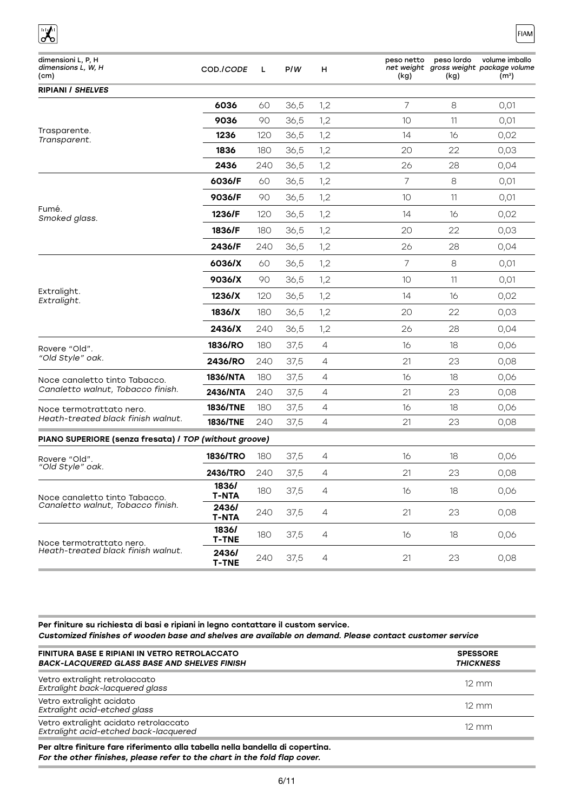| dimensioni L, P, H<br>dimensions L, W, H<br>(cm)       | COD./CODE             | L   | P/W  | н              | peso netto<br>(kg) | peso lordo<br>(kg) | volume imballo<br>net weight gross weight package volume<br>(mª) |
|--------------------------------------------------------|-----------------------|-----|------|----------------|--------------------|--------------------|------------------------------------------------------------------|
| <b>RIPIANI / SHELVES</b>                               |                       |     |      |                |                    |                    |                                                                  |
|                                                        | 6036                  | 60  | 36,5 | 1,2            | 7                  | 8                  | 0,01                                                             |
|                                                        | 9036                  | 90  | 36,5 | 1,2            | 10                 | 11                 | 0,01                                                             |
| Trasparente.<br>Transparent.                           | 1236                  | 120 | 36,5 | 1,2            | 14                 | 16                 | 0,02                                                             |
|                                                        | 1836                  | 180 | 36,5 | 1,2            | 20                 | 22                 | 0,03                                                             |
|                                                        | 2436                  | 240 | 36,5 | 1,2            | 26                 | 28                 | 0,04                                                             |
|                                                        | 6036/F                | 60  | 36,5 | 1,2            | $\overline{7}$     | 8                  | 0,01                                                             |
|                                                        | 9036/F                | 90  | 36,5 | 1,2            | 10                 | 11                 | 0,01                                                             |
| Fumé.<br>Smoked glass.                                 | 1236/F                | 120 | 36,5 | 1,2            | 14                 | 16                 | 0,02                                                             |
|                                                        | 1836/F                | 180 | 36,5 | 1,2            | 20                 | 22                 | 0,03                                                             |
|                                                        | 2436/F                | 240 | 36,5 | 1,2            | 26                 | 28                 | 0,04                                                             |
|                                                        | 6036/X                | 60  | 36,5 | 1,2            | 7                  | 8                  | 0,01                                                             |
|                                                        | 9036/X                | 90  | 36,5 | 1,2            | 10                 | 11                 | 0,01                                                             |
| Extralight.<br>Extralight.                             | 1236/X                | 120 | 36,5 | 1,2            | 14                 | 16                 | 0,02                                                             |
|                                                        | 1836/X                | 180 | 36,5 | 1,2            | 20                 | 22                 | 0,03                                                             |
|                                                        | 2436/X                | 240 | 36,5 | 1,2            | 26                 | 28                 | 0,04                                                             |
| Rovere "Old".                                          | 1836/RO               | 180 | 37,5 | $\overline{4}$ | 16                 | 18                 | 0,06                                                             |
| "Old Style" oak.                                       | 2436/RO               | 240 | 37,5 | 4              | 21                 | 23                 | 0,08                                                             |
| Noce canaletto tinto Tabacco.                          | 1836/NTA              | 180 | 37,5 | $\overline{4}$ | 16                 | 18                 | 0,06                                                             |
| Canaletto walnut, Tobacco finish.                      | 2436/NTA              | 240 | 37,5 | 4              | 21                 | 23                 | 0,08                                                             |
| Noce termotrattato nero.                               | 1836/TNE              | 180 | 37,5 | 4              | 16                 | 18                 | 0,06                                                             |
| Heath-treated black finish walnut.                     | 1836/TNE              | 240 | 37,5 | $\overline{4}$ | 21                 | 23                 | 0,08                                                             |
| PIANO SUPERIORE (senza fresata) / TOP (without groove) |                       |     |      |                |                    |                    |                                                                  |
| Rovere "Old".                                          | 1836/TRO              | 180 | 37,5 | 4              | 16                 | 18                 | 0,06                                                             |
| "Old Style" oak.                                       | 2436/TRO              | 240 | 37,5 | 4              | 21                 | 23                 | 0,08                                                             |
| Noce canaletto tinto Tabacco.                          | 1836/<br><b>T-NTA</b> | 180 | 37,5 | 4              | 16                 | 18                 | 0,06                                                             |
| Canaletto walnut. Tobacco finish.                      | 2436/<br><b>T-NTA</b> | 240 | 37,5 | 4              | 21                 | 23                 | 0,08                                                             |
| Noce termotrattato nero.                               | 1836/<br><b>T-TNE</b> | 180 | 37,5 | 4              | 16                 | 18                 | 0,06                                                             |
| Heath-treated black finish walnut.                     | 2436/<br><b>T-TNE</b> | 240 | 37,5 | 4              | 21                 | 23                 | 0,08                                                             |

**FIAM** 

### Per finiture su richiesta di basi e ripiani in legno contattare il custom service. Customized finishes of wooden base and shelves are available on demand. Please contact customer service

| FINITURA BASE E RIPIANI IN VETRO RETROLACCATO<br><b>BACK-LACQUERED GLASS BASE AND SHELVES FINISH</b> | <b>SPESSORE</b><br><b>THICKNESS</b> |
|------------------------------------------------------------------------------------------------------|-------------------------------------|
| Vetro extralight retrolaccato<br>Extralight back-lacquered glass                                     | $12 \, \text{mm}$                   |
| Vetro extralight acidato<br>Extralight acid-etched glass                                             | $12 \, \text{mm}$                   |
| Vetro extralight acidato retrolaccato<br>Extralight acid-etched back-lacquered                       | $12 \, \text{mm}$                   |
| Per altre finiture fare riferimento alla tabella nella bandella di copertina.                        |                                     |

For the other finishes, please refer to the chart in the fold flap cover.

 $\overline{\mathbf{X}}$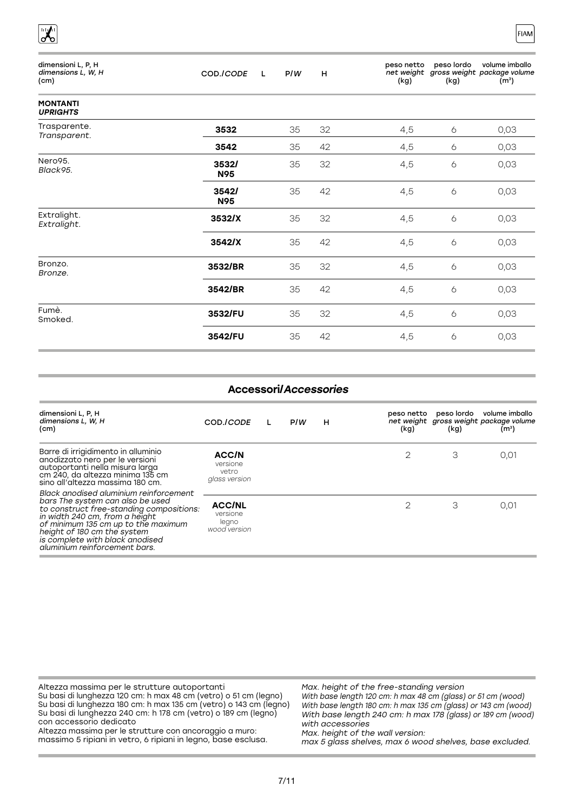| dimensioni L, P, H<br>dimensions L, W, H<br>(cm) | COD./CODE<br>L      | P/W | н  | peso netto<br>net weight<br>(kg) | peso lordo<br>(kg) | volume imballo<br>gross weight package volume<br>(m <sup>3</sup> ) |
|--------------------------------------------------|---------------------|-----|----|----------------------------------|--------------------|--------------------------------------------------------------------|
| <b>MONTANTI</b><br><b>UPRIGHTS</b>               |                     |     |    |                                  |                    |                                                                    |
| Trasparente.<br>Transparent.                     | 3532                | 35  | 32 | 4,5                              | 6                  | 0,03                                                               |
|                                                  | 3542                | 35  | 42 | 4,5                              | 6                  | 0,03                                                               |
| Nero95.<br>Black95.                              | 3532/<br>N95        | 35  | 32 | 4,5                              | 6                  | 0,03                                                               |
|                                                  | 3542/<br><b>N95</b> | 35  | 42 | 4,5                              | 6                  | 0,03                                                               |
| Extralight.<br>Extralight.                       | 3532/X              | 35  | 32 | 4,5                              | $\ddot{\circ}$     | 0,03                                                               |
|                                                  | 3542/X              | 35  | 42 | 4,5                              | 6                  | 0,03                                                               |
| Bronzo.<br>Bronze.                               | 3532/BR             | 35  | 32 | 4,5                              | $\ddot{\circ}$     | 0,03                                                               |
|                                                  | 3542/BR             | 35  | 42 | 4,5                              | 6                  | 0,03                                                               |
| Fumè.<br>Smoked.                                 | 3532/FU             | 35  | 32 | 4,5                              | $\ddot{\circ}$     | 0,03                                                               |
|                                                  | 3542/FU             | 35  | 42 | 4,5                              | 6                  | 0,03                                                               |

FIAM

 $\begin{bmatrix} \frac{1}{2} & \frac{1}{2} \\ \frac{1}{2} & \frac{1}{2} \end{bmatrix}$ 

| <b>Accessori/Accessories</b>                                                                                                                                                                                                                                                                       |                                                    |  |     |   |                    |      |                                                                                          |  |
|----------------------------------------------------------------------------------------------------------------------------------------------------------------------------------------------------------------------------------------------------------------------------------------------------|----------------------------------------------------|--|-----|---|--------------------|------|------------------------------------------------------------------------------------------|--|
| dimensioni L, P, H<br>dimensions L, W, H<br>(cm)                                                                                                                                                                                                                                                   | COD./CODE                                          |  | P/W | н | peso netto<br>(kg) | (kg) | peso lordo volume imballo<br>net weight gross weight package volume<br>(m <sup>3</sup> ) |  |
| Barre di irrigidimento in alluminio<br>anodizzato nero per le versioni<br>autoportanti nella misura larga<br>cm 240, da altezza minima 135 cm<br>sino all'altezza massima 180 cm.                                                                                                                  | ACC/N<br>versione<br>vetro<br>glass version        |  |     |   | $\mathfrak{D}$     | З    | 0.01                                                                                     |  |
| Black anodised aluminium reinforcement<br>bars The system can also be used<br>to construct free-standing compositions:<br>in width 240 cm, from a height<br>of minimum 135 cm up to the maximum<br>height of 180 cm the system<br>is complete with black anodised<br>aluminium reinforcement bars. | <b>ACC/NL</b><br>versione<br>legno<br>wood version |  |     |   | $\overline{2}$     | З    | 0.01                                                                                     |  |

| Altezza massima per le strutture autoportanti                      | Max. height of the free-standing version                       |
|--------------------------------------------------------------------|----------------------------------------------------------------|
| Su basi di lunghezza 120 cm: h max 48 cm (vetro) o 51 cm (legno)   | With base length 120 cm: h max 48 cm (glass) or 51 cm (wood)   |
| Su basi di lunghezza 180 cm: h max 135 cm (vetro) o 143 cm (legno) | With base length 180 cm: h max 135 cm (glass) or 143 cm (wood) |
| Su basi di lunghezza 240 cm: h 178 cm (vetro) o 189 cm (legno)     | With base length 240 cm: h max 178 (glass) or 189 cm (wood)    |
| con accessorio dedicato                                            | with accessories                                               |
| Altezza massima per le strutture con ancoraggio a muro:            | Max. height of the wall version:                               |
| massimo 5 ripiani in vetro, 6 ripiani in legno, base esclusa.      | max 5 glass shelves, max 6 wood shelves, base excluded.        |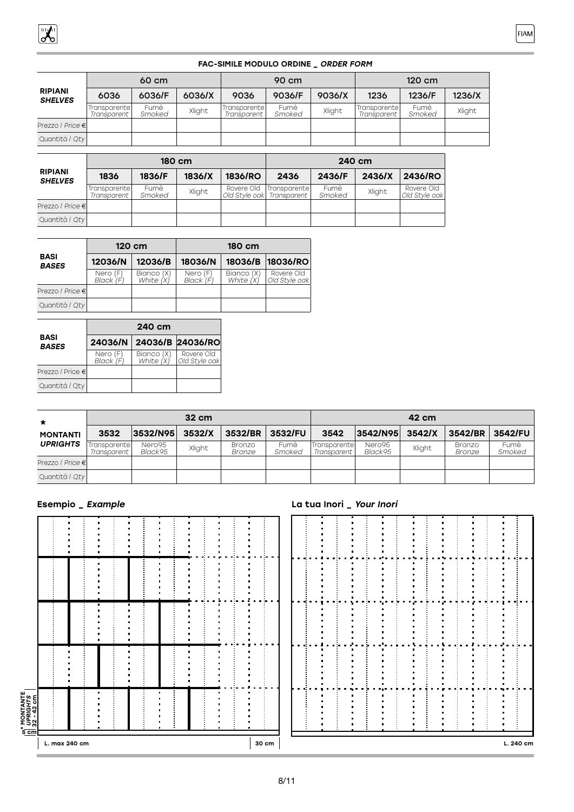### FAC-SIMILE MODULO ORDINE \_ ORDER FORM

|                                  |                               | 60 cm          |        |                              | 90 cm          |        |                               | 120 cm         |        |
|----------------------------------|-------------------------------|----------------|--------|------------------------------|----------------|--------|-------------------------------|----------------|--------|
| <b>RIPIANI</b><br><b>SHELVES</b> | 6036                          | 6036/F         | 6036/X | 9036                         | 9036/F         | 9036/X | 1236                          | 1236/F         | 1236/X |
|                                  | 'Transparente <br>Transparent | Fumè<br>Smoked | Xlight | Transparentel<br>Transparent | Fumè<br>Smoked | Xlight | Transparente  <br>Transparent | Fumè<br>Smoked | Xlight |
| Prezzo / Price €                 |                               |                |        |                              |                |        |                               |                |        |
| Quantità / Qty                   |                               |                |        |                              |                |        |                               |                |        |

|                                  |                              | 180 cm         |        |                              |                                     | 240 cm         |        |                             |
|----------------------------------|------------------------------|----------------|--------|------------------------------|-------------------------------------|----------------|--------|-----------------------------|
| <b>RIPIANI</b><br><b>SHELVES</b> | 1836                         | 1836/F         | 1836/X | 1836/RO                      | 2436                                | 2436/F         | 2436/X | 2436/RO                     |
|                                  | Transparentel<br>Transparent | Fumè<br>Smoked | Xlight | Rovere Old<br>Old Style oakl | <b>Transparentel</b><br>Transparent | Fumè<br>Smoked | Xlight | Rovere Old<br>Old Style oak |
| Prezzo <i>  Price</i> €          |                              |                |        |                              |                                     |                |        |                             |
| Quantità / Qty                   |                              |                |        |                              |                                     |                |        |                             |

|                             |                                                  | 120 cm  |                       | 180 cm                    |                             |
|-----------------------------|--------------------------------------------------|---------|-----------------------|---------------------------|-----------------------------|
| <b>BASI</b><br><b>BASES</b> | 12036/N                                          | 12036/B | 18036/N               |                           | 18036/B 18036/RO            |
|                             | Bianco (X)<br>White (X)<br>Nero (F)<br>Black (F) |         | Nero (F)<br>Black (F) | Bianco (X)<br>White $(X)$ | Rovere Old<br>Old Style oak |
| Prezzo / Price €            |                                                  |         |                       |                           |                             |
| Quantità / Qty              |                                                  |         |                       |                           |                             |

|                             |                       | 240 cm                  |                             |
|-----------------------------|-----------------------|-------------------------|-----------------------------|
| <b>BASI</b><br><b>BASES</b> | 24036/N               |                         | 24036/B 24036/RO            |
|                             | Nero (F)<br>Black (F) | Bianco (X)<br>White (X) | Rovere Old<br>Old Style oak |
| Prezzo / Price €            |                       |                         |                             |
| Quantità / Qty              |                       |                         |                             |

| $\star$<br><b>MONTANTI</b><br><b>UPRIGHTS</b> |                              |                   | $32 \text{ cm}$ |                         |                | 42 cm                                 |                   |        |                  |                |  |  |  |  |  |
|-----------------------------------------------|------------------------------|-------------------|-----------------|-------------------------|----------------|---------------------------------------|-------------------|--------|------------------|----------------|--|--|--|--|--|
|                                               | 3532                         | 3532/N95          | 3532/X          | 3532/BR                 | 3532/FU        | 3542                                  | 3542/N95          | 3542/X | 3542/BR          | 3542/FU        |  |  |  |  |  |
|                                               | Transparentel<br>Transparent | Nero95<br>Black95 | Xlight          | <b>Bronzo</b><br>Bronze | Fumè<br>Smoked | <b>I</b> Transparentel<br>Transparent | Nero95<br>Black95 | Xlight | Bronzo<br>Bronze | Fumè<br>Smoked |  |  |  |  |  |
| Prezzo / Price €                              |                              |                   |                 |                         |                |                                       |                   |        |                  |                |  |  |  |  |  |
| Quantità / Qty                                |                              |                   |                 |                         |                |                                       |                   |        |                  |                |  |  |  |  |  |

| $rac{1}{5}$ cm                           | L. max 240 cm |   |        |  |   |  |  |  | 30 cm |  |  |   | л                        |  | $\mathbf{r}$ |  | ٠ | L. 240 cm |  |
|------------------------------------------|---------------|---|--------|--|---|--|--|--|-------|--|--|---|--------------------------|--|--------------|--|---|-----------|--|
| * MONTANTE<br>  UPRIGHTS<br>  32 - 42 cm |               |   |        |  |   |  |  |  |       |  |  |   | п                        |  |              |  |   |           |  |
|                                          |               |   |        |  | п |  |  |  |       |  |  | ٠ | л<br>л<br>$\blacksquare$ |  |              |  |   |           |  |
|                                          |               | ٠ | ٠<br>٠ |  |   |  |  |  |       |  |  |   | п                        |  |              |  |   |           |  |
|                                          |               |   |        |  |   |  |  |  |       |  |  | ٠ | л<br>п<br>л<br>л<br>л    |  |              |  |   |           |  |
|                                          |               | п |        |  |   |  |  |  |       |  |  | ٠ | п                        |  |              |  |   |           |  |

## Esempio \_ Example La tua Inori \_ Your Inori

|  | ٠ |        | п      |    | ٠ |  | n<br>п<br>п       | ł  | п<br>n |           |
|--|---|--------|--------|----|---|--|-------------------|----|--------|-----------|
|  |   | İ<br>İ | ٠<br>٠ |    |   |  | a,<br>n<br>п<br>n | ٠  |        |           |
|  |   |        |        |    |   |  | п<br>n            |    |        |           |
|  |   |        |        |    | Ľ |  | i.                | ä, |        |           |
|  |   | i<br>I |        | ļ. |   |  |                   | ٠  |        |           |
|  |   |        |        |    |   |  |                   |    |        | L. 240 cm |

FIAM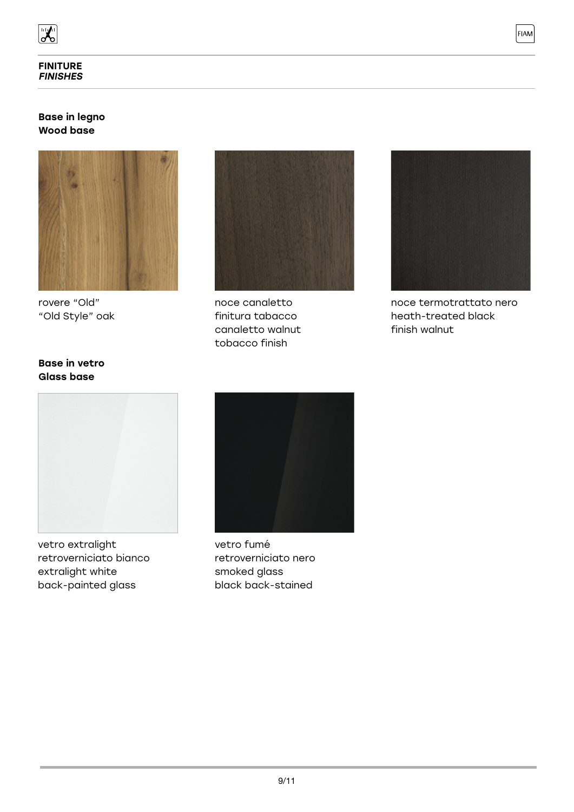

## Base in legno Wood base



rovere "Old" "Old Style" oak



noce canaletto finitura tabacco canaletto walnut tobacco finish



FIAM

noce termotrattato nero heath-treated black finish walnut

## Base in vetro Glass base



vetro extralight retroverniciato bianco extralight white back-painted glass



vetro fumé retroverniciato nero smoked glass black back-stained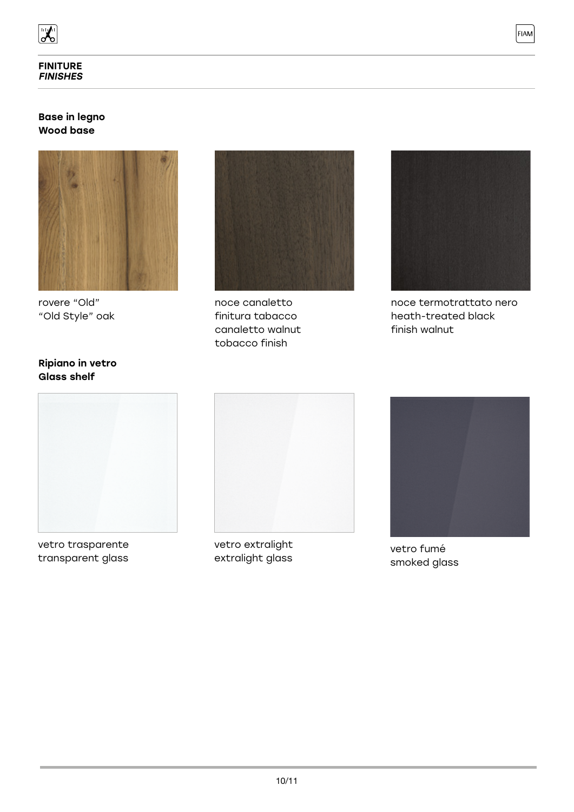

## Base in legno Wood base



rovere "Old" "Old Style" oak



noce canaletto finitura tabacco canaletto walnut tobacco finish



**FIAM** 

noce termotrattato nero heath-treated black finish walnut

## Ripiano in vetro Glass shelf



vetro trasparente transparent glass



vetro extralight extralight glass



vetro fumé smoked glass

10/11